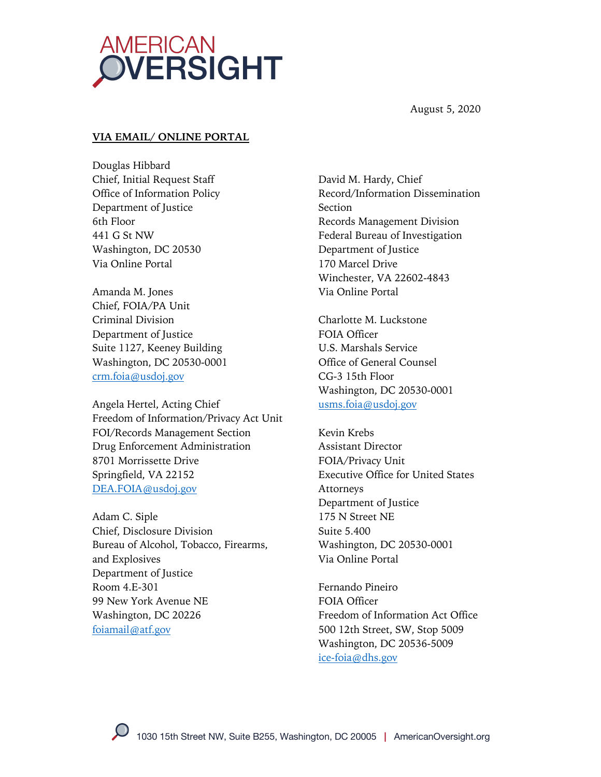

August 5, 2020

#### **VIA EMAIL/ ONLINE PORTAL**

Douglas Hibbard Chief, Initial Request Staff Office of Information Policy Department of Justice 6th Floor 441 G St NW Washington, DC 20530 Via Online Portal

Amanda M. Jones Chief, FOIA/PA Unit Criminal Division Department of Justice Suite 1127, Keeney Building Washington, DC 20530-0001 crm.foia@usdoj.gov

Angela Hertel, Acting Chief Freedom of Information/Privacy Act Unit FOI/Records Management Section Drug Enforcement Administration 8701 Morrissette Drive Springfield, VA 22152 DEA.FOIA@usdoj.gov

Adam C. Siple Chief, Disclosure Division Bureau of Alcohol, Tobacco, Firearms, and Explosives Department of Justice Room 4.E-301 99 New York Avenue NE Washington, DC 20226 foiamail@atf.gov

David M. Hardy, Chief Record/Information Dissemination Section Records Management Division Federal Bureau of Investigation Department of Justice 170 Marcel Drive Winchester, VA 22602-4843 Via Online Portal

Charlotte M. Luckstone FOIA Officer U.S. Marshals Service Office of General Counsel CG-3 15th Floor Washington, DC 20530-0001 usms.foia@usdoj.gov

Kevin Krebs Assistant Director FOIA/Privacy Unit Executive Office for United States Attorneys Department of Justice 175 N Street NE Suite 5.400 Washington, DC 20530-0001 Via Online Portal

Fernando Pineiro FOIA Officer Freedom of Information Act Office 500 12th Street, SW, Stop 5009 Washington, DC 20536-5009 ice-foia@dhs.gov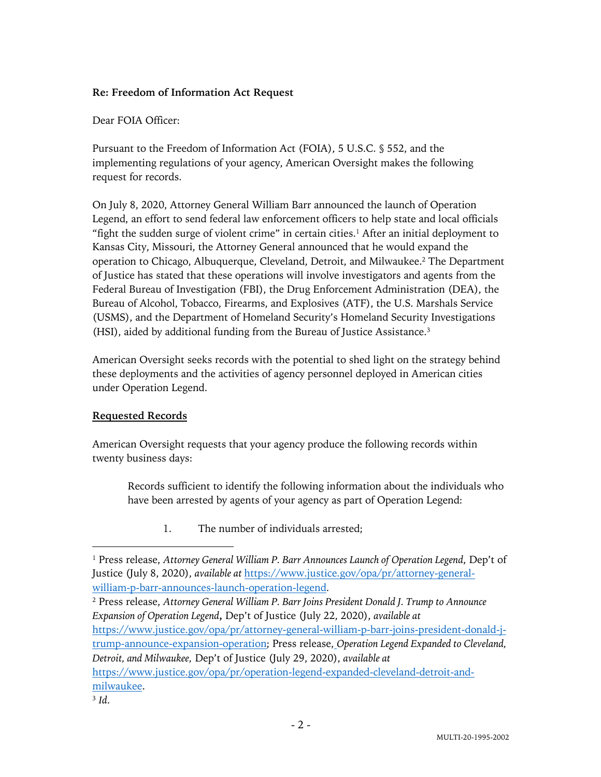### **Re: Freedom of Information Act Request**

#### Dear FOIA Officer:

Pursuant to the Freedom of Information Act (FOIA), 5 U.S.C. § 552, and the implementing regulations of your agency, American Oversight makes the following request for records.

On July 8, 2020, Attorney General William Barr announced the launch of Operation Legend, an effort to send federal law enforcement officers to help state and local officials "fight the sudden surge of violent crime" in certain cities. $<sup>1</sup>$  After an initial deployment to</sup> Kansas City, Missouri, the Attorney General announced that he would expand the operation to Chicago, Albuquerque, Cleveland, Detroit, and Milwaukee. <sup>2</sup> The Department of Justice has stated that these operations will involve investigators and agents from the Federal Bureau of Investigation (FBI), the Drug Enforcement Administration (DEA), the Bureau of Alcohol, Tobacco, Firearms, and Explosives (ATF), the U.S. Marshals Service (USMS), and the Department of Homeland Security's Homeland Security Investigations (HSI), aided by additional funding from the Bureau of Justice Assistance. 3

American Oversight seeks records with the potential to shed light on the strategy behind these deployments and the activities of agency personnel deployed in American cities under Operation Legend.

## **Requested Records**

American Oversight requests that your agency produce the following records within twenty business days:

Records sufficient to identify the following information about the individuals who have been arrested by agents of your agency as part of Operation Legend:

1. The number of individuals arrested;

<sup>2</sup> Press release, *Attorney General William P. Barr Joins President Donald J. Trump to Announce Expansion of Operation Legend***,** Dep't of Justice (July 22, 2020), *available at*  https://www.justice.gov/opa/pr/attorney-general-william-p-barr-joins-president-donald-jtrump-announce-expansion-operation; Press release, *Operation Legend Expanded to Cleveland, Detroit, and Milwaukee,* Dep't of Justice (July 29, 2020), *available at*  https://www.justice.gov/opa/pr/operation-legend-expanded-cleveland-detroit-andmilwaukee.

<sup>1</sup> Press release, *Attorney General William P. Barr Announces Launch of Operation Legend*, Dep't of Justice (July 8, 2020), *available at* https://www.justice.gov/opa/pr/attorney-generalwilliam-p-barr-announces-launch-operation-legend.

<sup>3</sup> *Id*.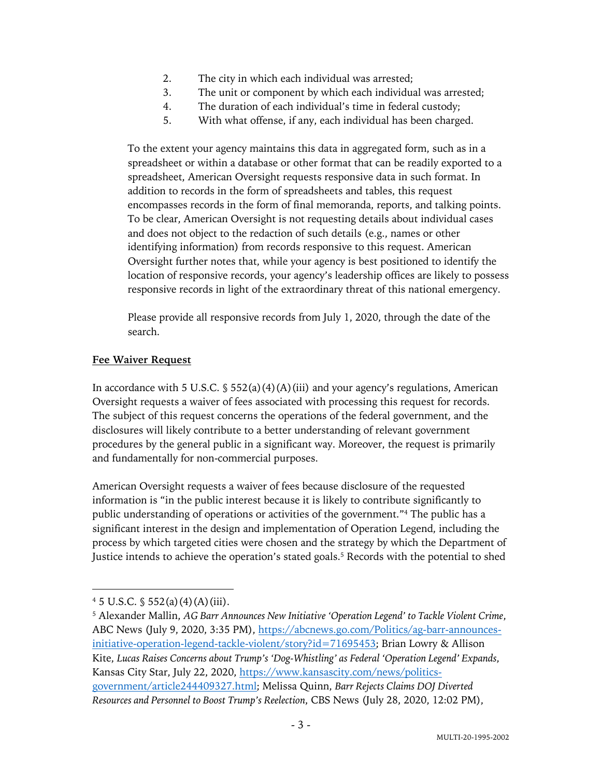- 2. The city in which each individual was arrested;
- 3. The unit or component by which each individual was arrested;
- 4. The duration of each individual's time in federal custody;
- 5. With what offense, if any, each individual has been charged.

To the extent your agency maintains this data in aggregated form, such as in a spreadsheet or within a database or other format that can be readily exported to a spreadsheet, American Oversight requests responsive data in such format. In addition to records in the form of spreadsheets and tables, this request encompasses records in the form of final memoranda, reports, and talking points. To be clear, American Oversight is not requesting details about individual cases and does not object to the redaction of such details (e.g., names or other identifying information) from records responsive to this request. American Oversight further notes that, while your agency is best positioned to identify the location of responsive records, your agency's leadership offices are likely to possess responsive records in light of the extraordinary threat of this national emergency.

Please provide all responsive records from July 1, 2020, through the date of the search.

#### **Fee Waiver Request**

In accordance with 5 U.S.C.  $\frac{1}{5}$  552(a)(4)(A)(iii) and your agency's regulations, American Oversight requests a waiver of fees associated with processing this request for records. The subject of this request concerns the operations of the federal government, and the disclosures will likely contribute to a better understanding of relevant government procedures by the general public in a significant way. Moreover, the request is primarily and fundamentally for non-commercial purposes.

American Oversight requests a waiver of fees because disclosure of the requested information is "in the public interest because it is likely to contribute significantly to public understanding of operations or activities of the government."4 The public has a significant interest in the design and implementation of Operation Legend, including the process by which targeted cities were chosen and the strategy by which the Department of Justice intends to achieve the operation's stated goals. <sup>5</sup> Records with the potential to shed

 $4\,5\,$  U.S.C.  $\frac{6}{3}\,552(a)(4)(A)(iii)$ .

<sup>5</sup> Alexander Mallin, *AG Barr Announces New Initiative 'Operation Legend' to Tackle Violent Crime*, ABC News (July 9, 2020, 3:35 PM), https://abcnews.go.com/Politics/ag-barr-announcesinitiative-operation-legend-tackle-violent/story?id=71695453; Brian Lowry & Allison Kite, *Lucas Raises Concerns about Trump's 'Dog-Whistling' as Federal 'Operation Legend' Expands*, Kansas City Star, July 22, 2020, https://www.kansascity.com/news/politicsgovernment/article244409327.html; Melissa Quinn, *Barr Rejects Claims DOJ Diverted Resources and Personnel to Boost Trump's Reelection*, CBS News (July 28, 2020, 12:02 PM),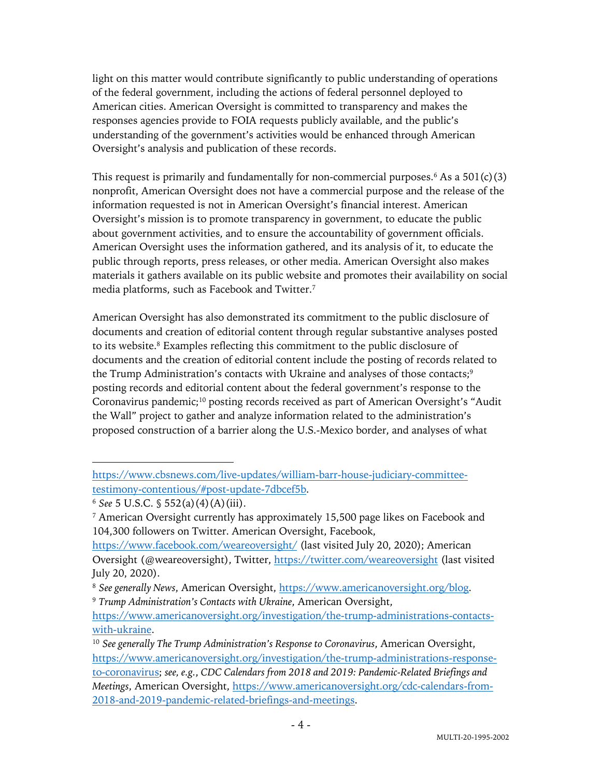light on this matter would contribute significantly to public understanding of operations of the federal government, including the actions of federal personnel deployed to American cities. American Oversight is committed to transparency and makes the responses agencies provide to FOIA requests publicly available, and the public's understanding of the government's activities would be enhanced through American Oversight's analysis and publication of these records.

This request is primarily and fundamentally for non-commercial purposes.<sup>6</sup> As a  $501(c)(3)$ nonprofit, American Oversight does not have a commercial purpose and the release of the information requested is not in American Oversight's financial interest. American Oversight's mission is to promote transparency in government, to educate the public about government activities, and to ensure the accountability of government officials. American Oversight uses the information gathered, and its analysis of it, to educate the public through reports, press releases, or other media. American Oversight also makes materials it gathers available on its public website and promotes their availability on social media platforms, such as Facebook and Twitter.7

American Oversight has also demonstrated its commitment to the public disclosure of documents and creation of editorial content through regular substantive analyses posted to its website. <sup>8</sup> Examples reflecting this commitment to the public disclosure of documents and the creation of editorial content include the posting of records related to the Trump Administration's contacts with Ukraine and analyses of those contacts;<sup>9</sup> posting records and editorial content about the federal government's response to the Coronavirus pandemic;<sup>10</sup> posting records received as part of American Oversight's "Audit the Wall" project to gather and analyze information related to the administration's proposed construction of a barrier along the U.S.-Mexico border, and analyses of what

https://www.cbsnews.com/live-updates/william-barr-house-judiciary-committeetestimony-contentious/#post-update-7dbcef5b.

<sup>6</sup> *See* 5 U.S.C. § 552(a)(4)(A)(iii).

<sup>7</sup> American Oversight currently has approximately 15,500 page likes on Facebook and 104,300 followers on Twitter. American Oversight, Facebook,

https://www.facebook.com/weareoversight/ (last visited July 20, 2020); American Oversight (@weareoversight), Twitter, https://twitter.com/weareoversight (last visited July 20, 2020).

<sup>8</sup> *See generally News*, American Oversight, https://www.americanoversight.org/blog.

<sup>9</sup> *Trump Administration's Contacts with Ukraine*, American Oversight,

https://www.americanoversight.org/investigation/the-trump-administrations-contactswith-ukraine.

<sup>10</sup> *See generally The Trump Administration's Response to Coronavirus*, American Oversight, https://www.americanoversight.org/investigation/the-trump-administrations-responseto-coronavirus; *see, e.g.*, *CDC Calendars from 2018 and 2019: Pandemic-Related Briefings and Meetings*, American Oversight, https://www.americanoversight.org/cdc-calendars-from-2018-and-2019-pandemic-related-briefings-and-meetings.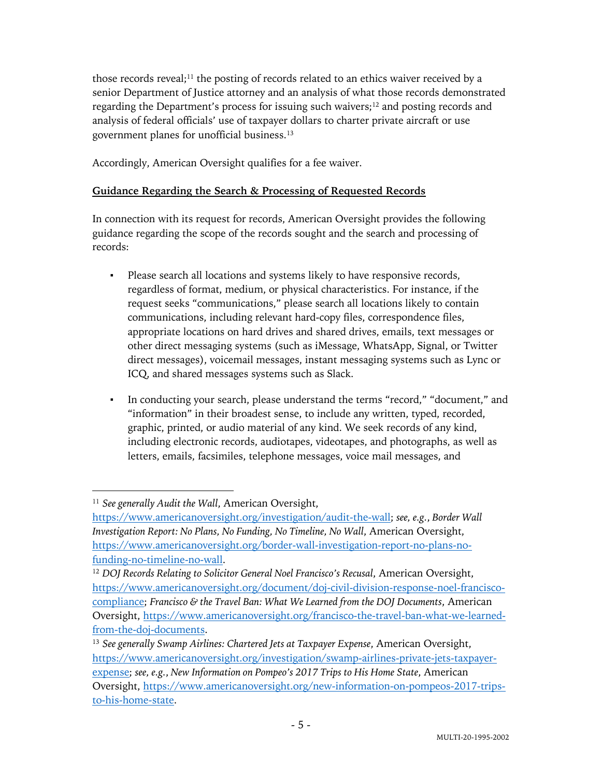those records reveal;<sup>11</sup> the posting of records related to an ethics waiver received by a senior Department of Justice attorney and an analysis of what those records demonstrated regarding the Department's process for issuing such waivers;<sup>12</sup> and posting records and analysis of federal officials' use of taxpayer dollars to charter private aircraft or use government planes for unofficial business. 13

Accordingly, American Oversight qualifies for a fee waiver.

# **Guidance Regarding the Search & Processing of Requested Records**

In connection with its request for records, American Oversight provides the following guidance regarding the scope of the records sought and the search and processing of records:

- Please search all locations and systems likely to have responsive records, regardless of format, medium, or physical characteristics. For instance, if the request seeks "communications," please search all locations likely to contain communications, including relevant hard-copy files, correspondence files, appropriate locations on hard drives and shared drives, emails, text messages or other direct messaging systems (such as iMessage, WhatsApp, Signal, or Twitter direct messages), voicemail messages, instant messaging systems such as Lync or ICQ, and shared messages systems such as Slack.
- In conducting your search, please understand the terms "record," "document," and "information" in their broadest sense, to include any written, typed, recorded, graphic, printed, or audio material of any kind. We seek records of any kind, including electronic records, audiotapes, videotapes, and photographs, as well as letters, emails, facsimiles, telephone messages, voice mail messages, and

<sup>11</sup> *See generally Audit the Wall*, American Oversight,

https://www.americanoversight.org/investigation/audit-the-wall; *see, e.g.*, *Border Wall Investigation Report: No Plans, No Funding, No Timeline, No Wall*, American Oversight, https://www.americanoversight.org/border-wall-investigation-report-no-plans-nofunding-no-timeline-no-wall.

<sup>12</sup> *DOJ Records Relating to Solicitor General Noel Francisco's Recusal*, American Oversight, https://www.americanoversight.org/document/doj-civil-division-response-noel-franciscocompliance; *Francisco & the Travel Ban: What We Learned from the DOJ Documents*, American Oversight, https://www.americanoversight.org/francisco-the-travel-ban-what-we-learnedfrom-the-doj-documents.

<sup>13</sup> *See generally Swamp Airlines: Chartered Jets at Taxpayer Expense*, American Oversight, https://www.americanoversight.org/investigation/swamp-airlines-private-jets-taxpayerexpense; *see, e.g.*, *New Information on Pompeo's 2017 Trips to His Home State*, American Oversight, https://www.americanoversight.org/new-information-on-pompeos-2017-tripsto-his-home-state.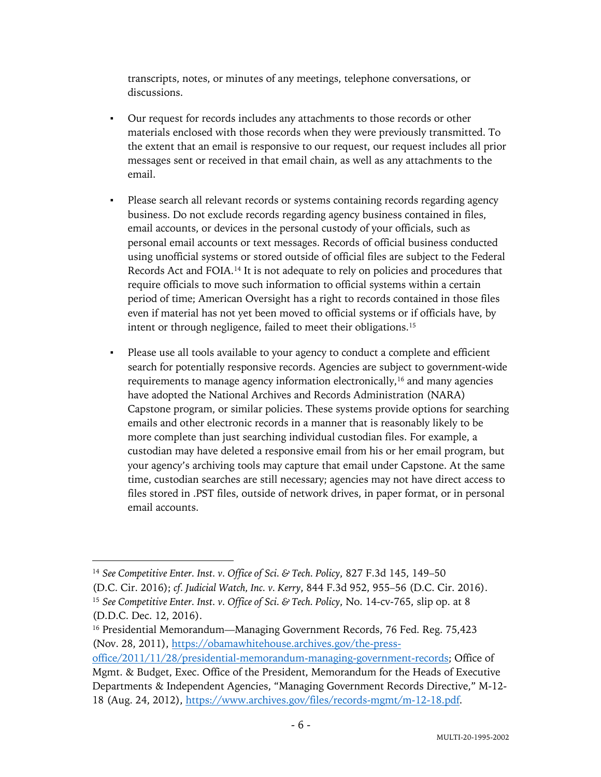transcripts, notes, or minutes of any meetings, telephone conversations, or discussions.

- Our request for records includes any attachments to those records or other materials enclosed with those records when they were previously transmitted. To the extent that an email is responsive to our request, our request includes all prior messages sent or received in that email chain, as well as any attachments to the email.
- Please search all relevant records or systems containing records regarding agency business. Do not exclude records regarding agency business contained in files, email accounts, or devices in the personal custody of your officials, such as personal email accounts or text messages. Records of official business conducted using unofficial systems or stored outside of official files are subject to the Federal Records Act and FOIA.14 It is not adequate to rely on policies and procedures that require officials to move such information to official systems within a certain period of time; American Oversight has a right to records contained in those files even if material has not yet been moved to official systems or if officials have, by intent or through negligence, failed to meet their obligations.15
- Please use all tools available to your agency to conduct a complete and efficient search for potentially responsive records. Agencies are subject to government-wide requirements to manage agency information electronically,<sup>16</sup> and many agencies have adopted the National Archives and Records Administration (NARA) Capstone program, or similar policies. These systems provide options for searching emails and other electronic records in a manner that is reasonably likely to be more complete than just searching individual custodian files. For example, a custodian may have deleted a responsive email from his or her email program, but your agency's archiving tools may capture that email under Capstone. At the same time, custodian searches are still necessary; agencies may not have direct access to files stored in .PST files, outside of network drives, in paper format, or in personal email accounts.

<sup>14</sup> *See Competitive Enter. Inst. v. Office of Sci. & Tech. Policy*, 827 F.3d 145, 149–50

<sup>(</sup>D.C. Cir. 2016); *cf. Judicial Watch, Inc. v. Kerry*, 844 F.3d 952, 955–56 (D.C. Cir. 2016). <sup>15</sup> *See Competitive Enter. Inst. v. Office of Sci. & Tech. Policy*, No. 14-cv-765, slip op. at 8 (D.D.C. Dec. 12, 2016).

<sup>&</sup>lt;sup>16</sup> Presidential Memorandum—Managing Government Records, 76 Fed. Reg. 75,423 (Nov. 28, 2011), https://obamawhitehouse.archives.gov/the-press-

office/2011/11/28/presidential-memorandum-managing-government-records; Office of Mgmt. & Budget, Exec. Office of the President, Memorandum for the Heads of Executive Departments & Independent Agencies, "Managing Government Records Directive," M-12- 18 (Aug. 24, 2012), https://www.archives.gov/files/records-mgmt/m-12-18.pdf.